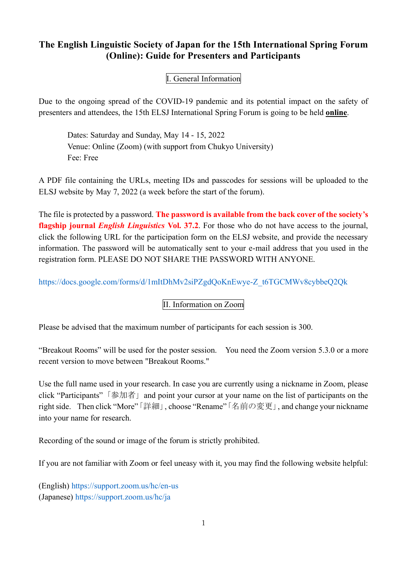# **The English Linguistic Society of Japan for the 15th International Spring Forum (Online): Guide for Presenters and Participants**

## I. General Information

Due to the ongoing spread of the COVID-19 pandemic and its potential impact on the safety of presenters and attendees, the 15th ELSJ International Spring Forum is going to be held **online**.

Dates: Saturday and Sunday, May 14 - 15, 2022 Venue: Online (Zoom) (with support from Chukyo University) Fee: Free

A PDF file containing the URLs, meeting IDs and passcodes for sessions will be uploaded to the ELSJ website by May 7, 2022 (a week before the start of the forum).

The file is protected by a password. **The password is available from the back cover of the society's flagship journal** *English Linguistics* **Vol. 37.2**. For those who do not have access to the journal, click the following URL for the participation form on the ELSJ website, and provide the necessary information. The password will be automatically sent to your e-mail address that you used in the registration form. PLEASE DO NOT SHARE THE PASSWORD WITH ANYONE.

[https://docs.google.com/forms/d/1mItDhMv2siPZgdQoKnEwye-Z\\_t6TGCMWv8cybbeQ2Qk](https://docs.google.com/forms/d/1mItDhMv2siPZgdQoKnEwye-Z_t6TGCMWv8cybbeQ2Qk)

## II. Information on Zoom

Please be advised that the maximum number of participants for each session is 300.

"Breakout Rooms" will be used for the poster session. You need the Zoom version 5.3.0 or a more recent version to move between "Breakout Rooms."

Use the full name used in your research. In case you are currently using a nickname in Zoom, please click "Participants"「参加者」and point your cursor at your name on the list of participants on the right side. Then click "More"「詳細」, choose "Rename"「名前の変更」, and change your nickname into your name for research.

Recording of the sound or image of the forum is strictly prohibited.

If you are not familiar with Zoom or feel uneasy with it, you may find the following website helpful:

(English)<https://support.zoom.us/hc/en-us> (Japanese)<https://support.zoom.us/hc/ja>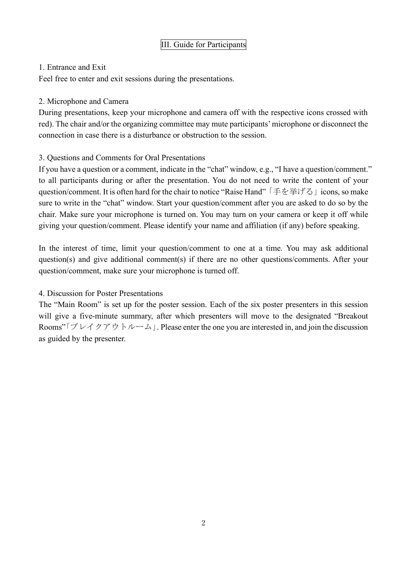#### 1. Entrance and Exit

Feel free to enter and exit sessions during the presentations.

#### 2. Microphone and Camera

During presentations, keep your microphone and camera off with the respective icons crossed with red). The chair and/or the organizing committee may mute participants' microphone or disconnect the connection in case there is a disturbance or obstruction to the session.

#### 3. Questions and Comments for Oral Presentations

If you have a question or a comment, indicate in the "chat" window, e.g., "I have a question/comment." to all participants during or after the presentation. You do not need to write the content of your question/comment. It is often hard for the chair to notice "Raise Hand" 「手を挙げる」icons, so make sure to write in the "chat" window. Start your question/comment after you are asked to do so by the chair. Make sure your microphone is turned on. You may turn on your camera or keep it off while giving your question/comment. Please identify your name and affiliation (if any) before speaking.

In the interest of time, limit your question/comment to one at a time. You may ask additional question(s) and give additional comment(s) if there are no other questions/comments. After your question/comment, make sure your microphone is turned off.

## 4. Discussion for Poster Presentations

The "Main Room" is set up for the poster session. Each of the six poster presenters in this session will give a five-minute summary, after which presenters will move to the designated "Breakout Rooms"「ブレイクアウトルーム」. Please enter the one you are interested in, and join the discussion as guided by the presenter.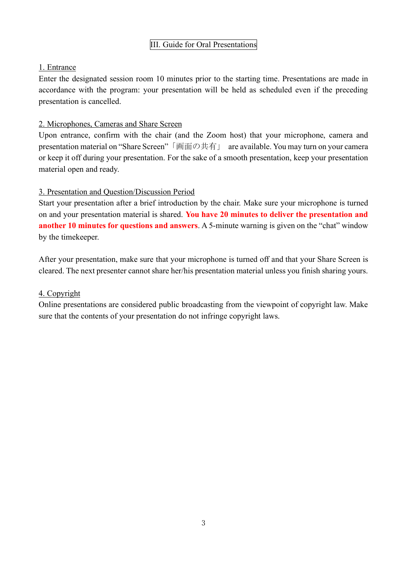## III. Guide for Oral Presentations

## 1. Entrance

Enter the designated session room 10 minutes prior to the starting time. Presentations are made in accordance with the program: your presentation will be held as scheduled even if the preceding presentation is cancelled.

## 2. Microphones, Cameras and Share Screen

Upon entrance, confirm with the chair (and the Zoom host) that your microphone, camera and presentation material on "Share Screen"「画面の共有」 are available. You may turn on your camera or keep it off during your presentation. For the sake of a smooth presentation, keep your presentation material open and ready.

## 3. Presentation and Question/Discussion Period

Start your presentation after a brief introduction by the chair. Make sure your microphone is turned on and your presentation material is shared. **You have 20 minutes to deliver the presentation and another 10 minutes for questions and answers**. A 5-minute warning is given on the "chat" window by the timekeeper.

After your presentation, make sure that your microphone is turned off and that your Share Screen is cleared. The next presenter cannot share her/his presentation material unless you finish sharing yours.

## 4. Copyright

Online presentations are considered public broadcasting from the viewpoint of copyright law. Make sure that the contents of your presentation do not infringe copyright laws.